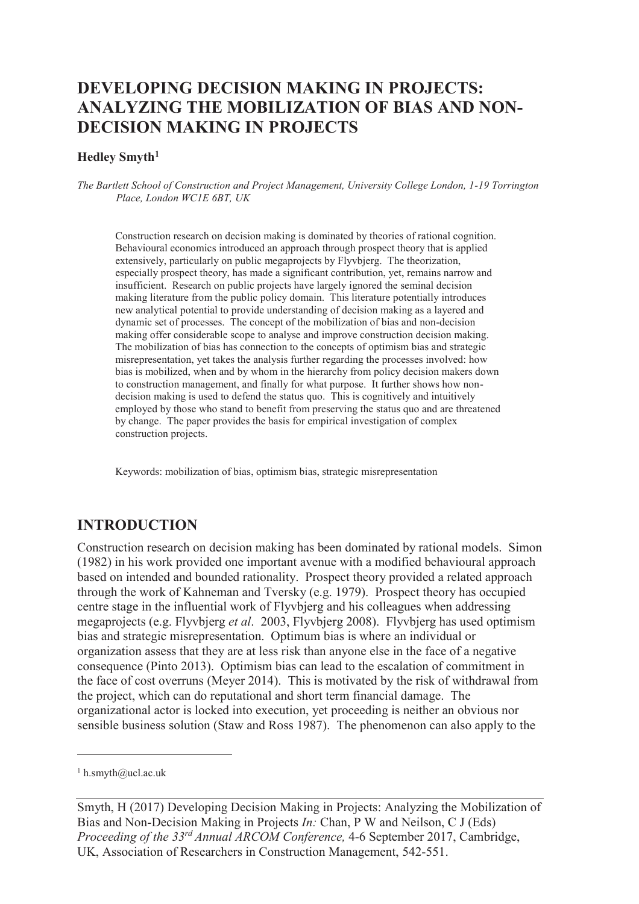# **DEVELOPING DECISION MAKING IN PROJECTS: ANALYZING THE MOBILIZATION OF BIAS AND NON-DECISION MAKING IN PROJECTS**

#### **Hedley Smyth<sup>1</sup>**

*The Bartlett School of Construction and Project Management, University College London, 1-19 Torrington Place, London WC1E 6BT, UK* 

Construction research on decision making is dominated by theories of rational cognition. Behavioural economics introduced an approach through prospect theory that is applied extensively, particularly on public megaprojects by Flyvbjerg. The theorization, especially prospect theory, has made a significant contribution, yet, remains narrow and insufficient. Research on public projects have largely ignored the seminal decision making literature from the public policy domain. This literature potentially introduces new analytical potential to provide understanding of decision making as a layered and dynamic set of processes. The concept of the mobilization of bias and non-decision making offer considerable scope to analyse and improve construction decision making. The mobilization of bias has connection to the concepts of optimism bias and strategic misrepresentation, yet takes the analysis further regarding the processes involved: how bias is mobilized, when and by whom in the hierarchy from policy decision makers down to construction management, and finally for what purpose. It further shows how nondecision making is used to defend the status quo. This is cognitively and intuitively employed by those who stand to benefit from preserving the status quo and are threatened by change. The paper provides the basis for empirical investigation of complex construction projects.

Keywords: mobilization of bias, optimism bias, strategic misrepresentation

### **INTRODUCTION**

Construction research on decision making has been dominated by rational models. Simon (1982) in his work provided one important avenue with a modified behavioural approach based on intended and bounded rationality. Prospect theory provided a related approach through the work of Kahneman and Tversky (e.g. 1979). Prospect theory has occupied centre stage in the influential work of Flyvbjerg and his colleagues when addressing megaprojects (e.g. Flyvbjerg *et al*. 2003, Flyvbjerg 2008). Flyvbjerg has used optimism bias and strategic misrepresentation. Optimum bias is where an individual or organization assess that they are at less risk than anyone else in the face of a negative consequence (Pinto 2013). Optimism bias can lead to the escalation of commitment in the face of cost overruns (Meyer 2014). This is motivated by the risk of withdrawal from the project, which can do reputational and short term financial damage. The organizational actor is locked into execution, yet proceeding is neither an obvious nor sensible business solution (Staw and Ross 1987). The phenomenon can also apply to the

-

Smyth, H (2017) Developing Decision Making in Projects: Analyzing the Mobilization of Bias and Non-Decision Making in Projects *In:* Chan, P W and Neilson, C J (Eds) *Proceeding of the 33rd Annual ARCOM Conference,* 4-6 September 2017, Cambridge, UK, Association of Researchers in Construction Management, 542-551.

<sup>1</sup> h.smyth@ucl.ac.uk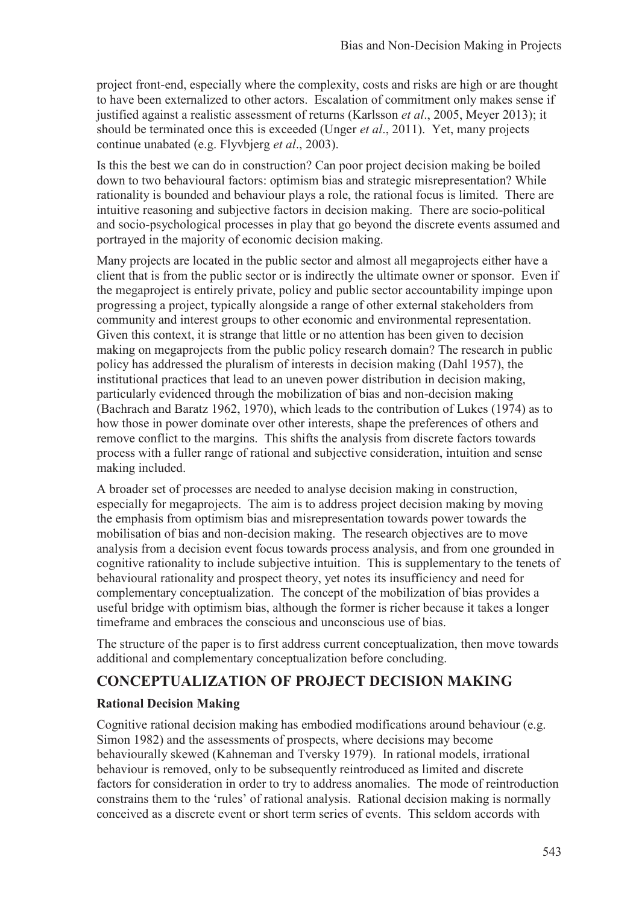project front-end, especially where the complexity, costs and risks are high or are thought to have been externalized to other actors. Escalation of commitment only makes sense if justified against a realistic assessment of returns (Karlsson *et al*., 2005, Meyer 2013); it should be terminated once this is exceeded (Unger *et al*., 2011). Yet, many projects continue unabated (e.g. Flyvbjerg *et al*., 2003).

Is this the best we can do in construction? Can poor project decision making be boiled down to two behavioural factors: optimism bias and strategic misrepresentation? While rationality is bounded and behaviour plays a role, the rational focus is limited. There are intuitive reasoning and subjective factors in decision making. There are socio-political and socio-psychological processes in play that go beyond the discrete events assumed and portrayed in the majority of economic decision making.

Many projects are located in the public sector and almost all megaprojects either have a client that is from the public sector or is indirectly the ultimate owner or sponsor. Even if the megaproject is entirely private, policy and public sector accountability impinge upon progressing a project, typically alongside a range of other external stakeholders from community and interest groups to other economic and environmental representation. Given this context, it is strange that little or no attention has been given to decision making on megaprojects from the public policy research domain? The research in public policy has addressed the pluralism of interests in decision making (Dahl 1957), the institutional practices that lead to an uneven power distribution in decision making, particularly evidenced through the mobilization of bias and non-decision making (Bachrach and Baratz 1962, 1970), which leads to the contribution of Lukes (1974) as to how those in power dominate over other interests, shape the preferences of others and remove conflict to the margins. This shifts the analysis from discrete factors towards process with a fuller range of rational and subjective consideration, intuition and sense making included.

A broader set of processes are needed to analyse decision making in construction, especially for megaprojects. The aim is to address project decision making by moving the emphasis from optimism bias and misrepresentation towards power towards the mobilisation of bias and non-decision making. The research objectives are to move analysis from a decision event focus towards process analysis, and from one grounded in cognitive rationality to include subjective intuition. This is supplementary to the tenets of behavioural rationality and prospect theory, yet notes its insufficiency and need for complementary conceptualization. The concept of the mobilization of bias provides a useful bridge with optimism bias, although the former is richer because it takes a longer timeframe and embraces the conscious and unconscious use of bias.

The structure of the paper is to first address current conceptualization, then move towards additional and complementary conceptualization before concluding.

## **CONCEPTUALIZATION OF PROJECT DECISION MAKING**

#### **Rational Decision Making**

Cognitive rational decision making has embodied modifications around behaviour (e.g. Simon 1982) and the assessments of prospects, where decisions may become behaviourally skewed (Kahneman and Tversky 1979). In rational models, irrational behaviour is removed, only to be subsequently reintroduced as limited and discrete factors for consideration in order to try to address anomalies. The mode of reintroduction constrains them to the 'rules' of rational analysis. Rational decision making is normally conceived as a discrete event or short term series of events. This seldom accords with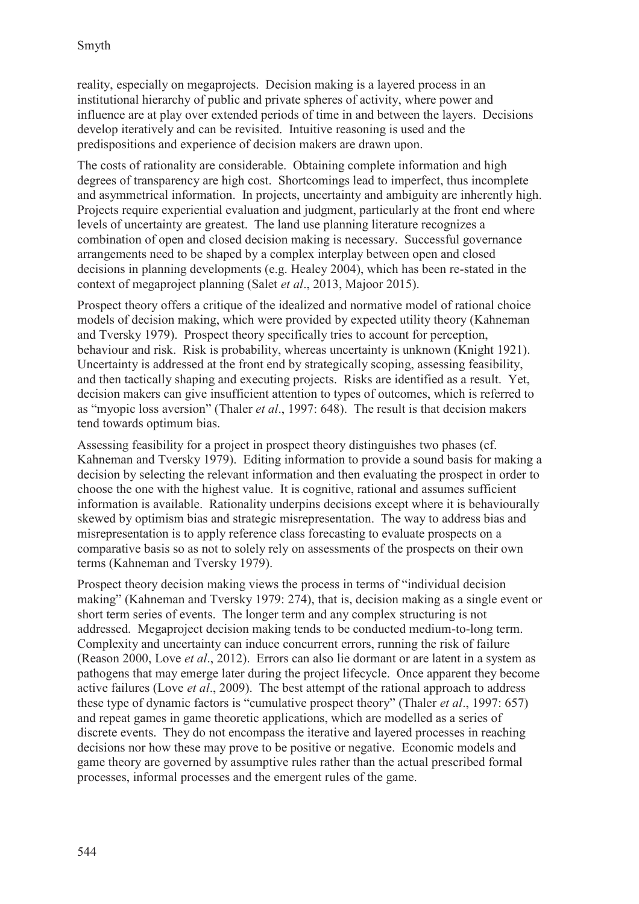reality, especially on megaprojects. Decision making is a layered process in an institutional hierarchy of public and private spheres of activity, where power and influence are at play over extended periods of time in and between the layers. Decisions develop iteratively and can be revisited. Intuitive reasoning is used and the predispositions and experience of decision makers are drawn upon.

The costs of rationality are considerable. Obtaining complete information and high degrees of transparency are high cost. Shortcomings lead to imperfect, thus incomplete and asymmetrical information. In projects, uncertainty and ambiguity are inherently high. Projects require experiential evaluation and judgment, particularly at the front end where levels of uncertainty are greatest. The land use planning literature recognizes a combination of open and closed decision making is necessary. Successful governance arrangements need to be shaped by a complex interplay between open and closed decisions in planning developments (e.g. Healey 2004), which has been re-stated in the context of megaproject planning (Salet *et al*., 2013, Majoor 2015).

Prospect theory offers a critique of the idealized and normative model of rational choice models of decision making, which were provided by expected utility theory (Kahneman and Tversky 1979). Prospect theory specifically tries to account for perception, behaviour and risk. Risk is probability, whereas uncertainty is unknown (Knight 1921). Uncertainty is addressed at the front end by strategically scoping, assessing feasibility, and then tactically shaping and executing projects. Risks are identified as a result. Yet, decision makers can give insufficient attention to types of outcomes, which is referred to as "myopic loss aversion" (Thaler *et al*., 1997: 648). The result is that decision makers tend towards optimum bias.

Assessing feasibility for a project in prospect theory distinguishes two phases (cf. Kahneman and Tversky 1979). Editing information to provide a sound basis for making a decision by selecting the relevant information and then evaluating the prospect in order to choose the one with the highest value. It is cognitive, rational and assumes sufficient information is available. Rationality underpins decisions except where it is behaviourally skewed by optimism bias and strategic misrepresentation. The way to address bias and misrepresentation is to apply reference class forecasting to evaluate prospects on a comparative basis so as not to solely rely on assessments of the prospects on their own terms (Kahneman and Tversky 1979).

Prospect theory decision making views the process in terms of "individual decision making" (Kahneman and Tversky 1979: 274), that is, decision making as a single event or short term series of events. The longer term and any complex structuring is not addressed. Megaproject decision making tends to be conducted medium-to-long term. Complexity and uncertainty can induce concurrent errors, running the risk of failure (Reason 2000, Love *et al*., 2012). Errors can also lie dormant or are latent in a system as pathogens that may emerge later during the project lifecycle. Once apparent they become active failures (Love *et al*., 2009). The best attempt of the rational approach to address these type of dynamic factors is "cumulative prospect theory" (Thaler *et al*., 1997: 657) and repeat games in game theoretic applications, which are modelled as a series of discrete events. They do not encompass the iterative and layered processes in reaching decisions nor how these may prove to be positive or negative. Economic models and game theory are governed by assumptive rules rather than the actual prescribed formal processes, informal processes and the emergent rules of the game.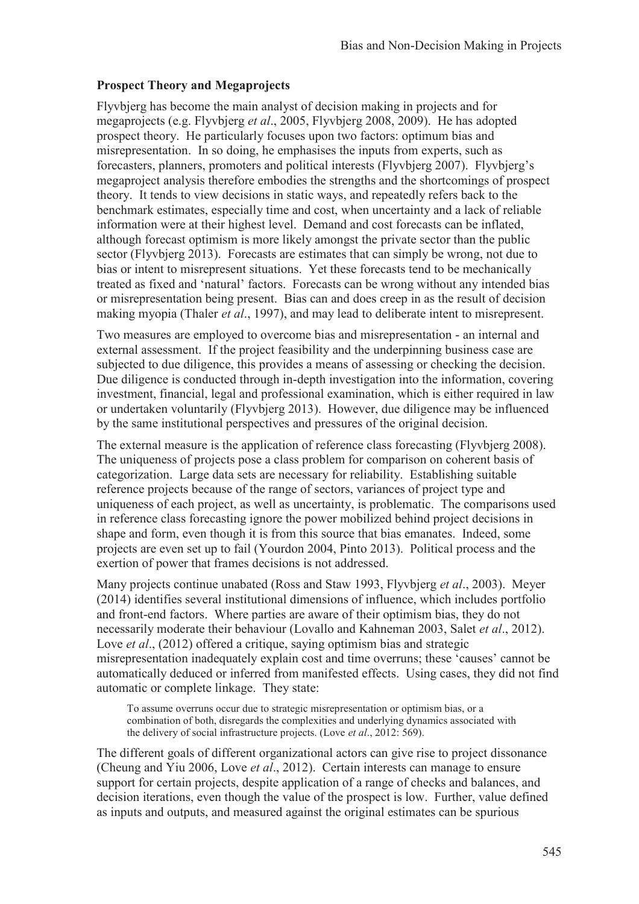### **Prospect Theory and Megaprojects**

Flyvbjerg has become the main analyst of decision making in projects and for megaprojects (e.g. Flyvbjerg *et al*., 2005, Flyvbjerg 2008, 2009). He has adopted prospect theory. He particularly focuses upon two factors: optimum bias and misrepresentation. In so doing, he emphasises the inputs from experts, such as forecasters, planners, promoters and political interests (Flyvbjerg 2007). Flyvbjerg's megaproject analysis therefore embodies the strengths and the shortcomings of prospect theory. It tends to view decisions in static ways, and repeatedly refers back to the benchmark estimates, especially time and cost, when uncertainty and a lack of reliable information were at their highest level. Demand and cost forecasts can be inflated, although forecast optimism is more likely amongst the private sector than the public sector (Flyvbjerg 2013). Forecasts are estimates that can simply be wrong, not due to bias or intent to misrepresent situations. Yet these forecasts tend to be mechanically treated as fixed and 'natural' factors. Forecasts can be wrong without any intended bias or misrepresentation being present. Bias can and does creep in as the result of decision making myopia (Thaler *et al*., 1997), and may lead to deliberate intent to misrepresent.

Two measures are employed to overcome bias and misrepresentation - an internal and external assessment. If the project feasibility and the underpinning business case are subjected to due diligence, this provides a means of assessing or checking the decision. Due diligence is conducted through in-depth investigation into the information, covering investment, financial, legal and professional examination, which is either required in law or undertaken voluntarily (Flyvbjerg 2013). However, due diligence may be influenced by the same institutional perspectives and pressures of the original decision.

The external measure is the application of reference class forecasting (Flyvbjerg 2008). The uniqueness of projects pose a class problem for comparison on coherent basis of categorization. Large data sets are necessary for reliability. Establishing suitable reference projects because of the range of sectors, variances of project type and uniqueness of each project, as well as uncertainty, is problematic. The comparisons used in reference class forecasting ignore the power mobilized behind project decisions in shape and form, even though it is from this source that bias emanates. Indeed, some projects are even set up to fail (Yourdon 2004, Pinto 2013). Political process and the exertion of power that frames decisions is not addressed.

Many projects continue unabated (Ross and Staw 1993, Flyvbjerg *et al*., 2003). Meyer (2014) identifies several institutional dimensions of influence, which includes portfolio and front-end factors. Where parties are aware of their optimism bias, they do not necessarily moderate their behaviour (Lovallo and Kahneman 2003, Salet *et al*., 2012). Love *et al.*, (2012) offered a critique, saying optimism bias and strategic misrepresentation inadequately explain cost and time overruns; these 'causes' cannot be automatically deduced or inferred from manifested effects. Using cases, they did not find automatic or complete linkage. They state:

To assume overruns occur due to strategic misrepresentation or optimism bias, or a combination of both, disregards the complexities and underlying dynamics associated with the delivery of social infrastructure projects. (Love *et al*., 2012: 569).

The different goals of different organizational actors can give rise to project dissonance (Cheung and Yiu 2006, Love *et al*., 2012). Certain interests can manage to ensure support for certain projects, despite application of a range of checks and balances, and decision iterations, even though the value of the prospect is low. Further, value defined as inputs and outputs, and measured against the original estimates can be spurious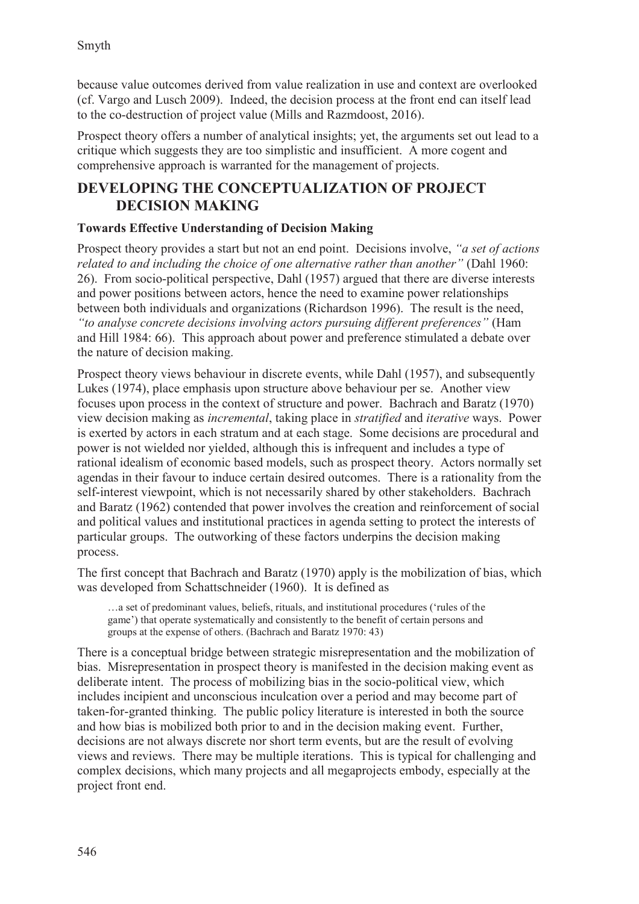because value outcomes derived from value realization in use and context are overlooked (cf. Vargo and Lusch 2009). Indeed, the decision process at the front end can itself lead to the co-destruction of project value (Mills and Razmdoost, 2016).

Prospect theory offers a number of analytical insights; yet, the arguments set out lead to a critique which suggests they are too simplistic and insufficient. A more cogent and comprehensive approach is warranted for the management of projects.

## **DEVELOPING THE CONCEPTUALIZATION OF PROJECT DECISION MAKING**

### **Towards Effective Understanding of Decision Making**

Prospect theory provides a start but not an end point. Decisions involve, *"a set of actions related to and including the choice of one alternative rather than another"* (Dahl 1960: 26). From socio-political perspective, Dahl (1957) argued that there are diverse interests and power positions between actors, hence the need to examine power relationships between both individuals and organizations (Richardson 1996). The result is the need, *"to analyse concrete decisions involving actors pursuing different preferences"* (Ham and Hill 1984: 66). This approach about power and preference stimulated a debate over the nature of decision making.

Prospect theory views behaviour in discrete events, while Dahl (1957), and subsequently Lukes (1974), place emphasis upon structure above behaviour per se. Another view focuses upon process in the context of structure and power. Bachrach and Baratz (1970) view decision making as *incremental*, taking place in *stratified* and *iterative* ways. Power is exerted by actors in each stratum and at each stage. Some decisions are procedural and power is not wielded nor yielded, although this is infrequent and includes a type of rational idealism of economic based models, such as prospect theory. Actors normally set agendas in their favour to induce certain desired outcomes. There is a rationality from the self-interest viewpoint, which is not necessarily shared by other stakeholders. Bachrach and Baratz (1962) contended that power involves the creation and reinforcement of social and political values and institutional practices in agenda setting to protect the interests of particular groups. The outworking of these factors underpins the decision making process.

The first concept that Bachrach and Baratz (1970) apply is the mobilization of bias, which was developed from Schattschneider (1960). It is defined as

…a set of predominant values, beliefs, rituals, and institutional procedures ('rules of the game') that operate systematically and consistently to the benefit of certain persons and groups at the expense of others. (Bachrach and Baratz 1970: 43)

There is a conceptual bridge between strategic misrepresentation and the mobilization of bias. Misrepresentation in prospect theory is manifested in the decision making event as deliberate intent. The process of mobilizing bias in the socio-political view, which includes incipient and unconscious inculcation over a period and may become part of taken-for-granted thinking. The public policy literature is interested in both the source and how bias is mobilized both prior to and in the decision making event. Further, decisions are not always discrete nor short term events, but are the result of evolving views and reviews. There may be multiple iterations. This is typical for challenging and complex decisions, which many projects and all megaprojects embody, especially at the project front end.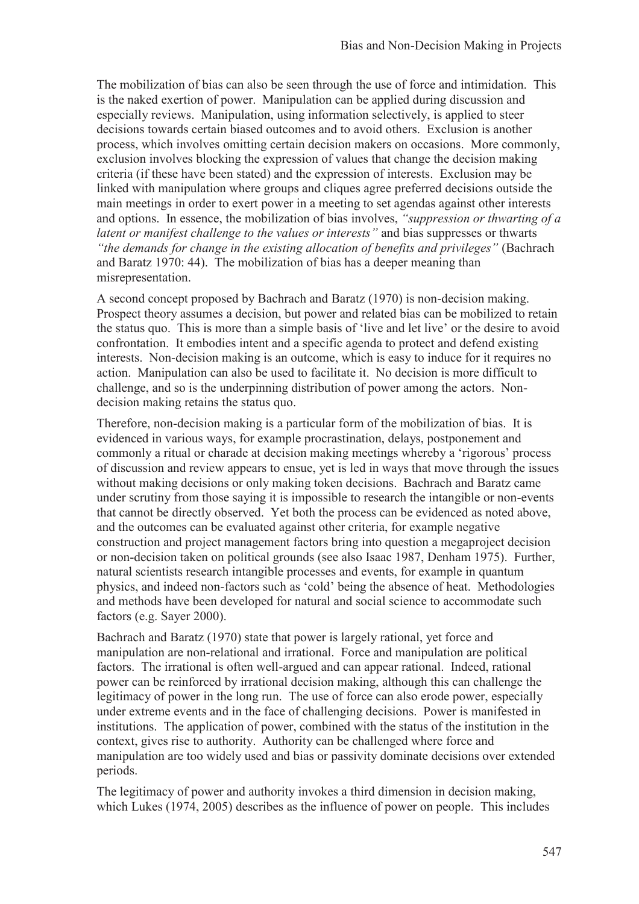The mobilization of bias can also be seen through the use of force and intimidation. This is the naked exertion of power. Manipulation can be applied during discussion and especially reviews. Manipulation, using information selectively, is applied to steer decisions towards certain biased outcomes and to avoid others. Exclusion is another process, which involves omitting certain decision makers on occasions. More commonly, exclusion involves blocking the expression of values that change the decision making criteria (if these have been stated) and the expression of interests. Exclusion may be linked with manipulation where groups and cliques agree preferred decisions outside the main meetings in order to exert power in a meeting to set agendas against other interests and options. In essence, the mobilization of bias involves, *"suppression or thwarting of a latent or manifest challenge to the values or interests"* and bias suppresses or thwarts *"the demands for change in the existing allocation of benefits and privileges"* (Bachrach and Baratz 1970: 44). The mobilization of bias has a deeper meaning than misrepresentation.

A second concept proposed by Bachrach and Baratz (1970) is non-decision making. Prospect theory assumes a decision, but power and related bias can be mobilized to retain the status quo. This is more than a simple basis of 'live and let live' or the desire to avoid confrontation. It embodies intent and a specific agenda to protect and defend existing interests. Non-decision making is an outcome, which is easy to induce for it requires no action. Manipulation can also be used to facilitate it. No decision is more difficult to challenge, and so is the underpinning distribution of power among the actors. Nondecision making retains the status quo.

Therefore, non-decision making is a particular form of the mobilization of bias. It is evidenced in various ways, for example procrastination, delays, postponement and commonly a ritual or charade at decision making meetings whereby a 'rigorous' process of discussion and review appears to ensue, yet is led in ways that move through the issues without making decisions or only making token decisions. Bachrach and Baratz came under scrutiny from those saying it is impossible to research the intangible or non-events that cannot be directly observed. Yet both the process can be evidenced as noted above, and the outcomes can be evaluated against other criteria, for example negative construction and project management factors bring into question a megaproject decision or non-decision taken on political grounds (see also Isaac 1987, Denham 1975). Further, natural scientists research intangible processes and events, for example in quantum physics, and indeed non-factors such as 'cold' being the absence of heat. Methodologies and methods have been developed for natural and social science to accommodate such factors (e.g. Sayer 2000).

Bachrach and Baratz (1970) state that power is largely rational, yet force and manipulation are non-relational and irrational. Force and manipulation are political factors. The irrational is often well-argued and can appear rational. Indeed, rational power can be reinforced by irrational decision making, although this can challenge the legitimacy of power in the long run. The use of force can also erode power, especially under extreme events and in the face of challenging decisions. Power is manifested in institutions. The application of power, combined with the status of the institution in the context, gives rise to authority. Authority can be challenged where force and manipulation are too widely used and bias or passivity dominate decisions over extended periods.

The legitimacy of power and authority invokes a third dimension in decision making, which Lukes (1974, 2005) describes as the influence of power on people. This includes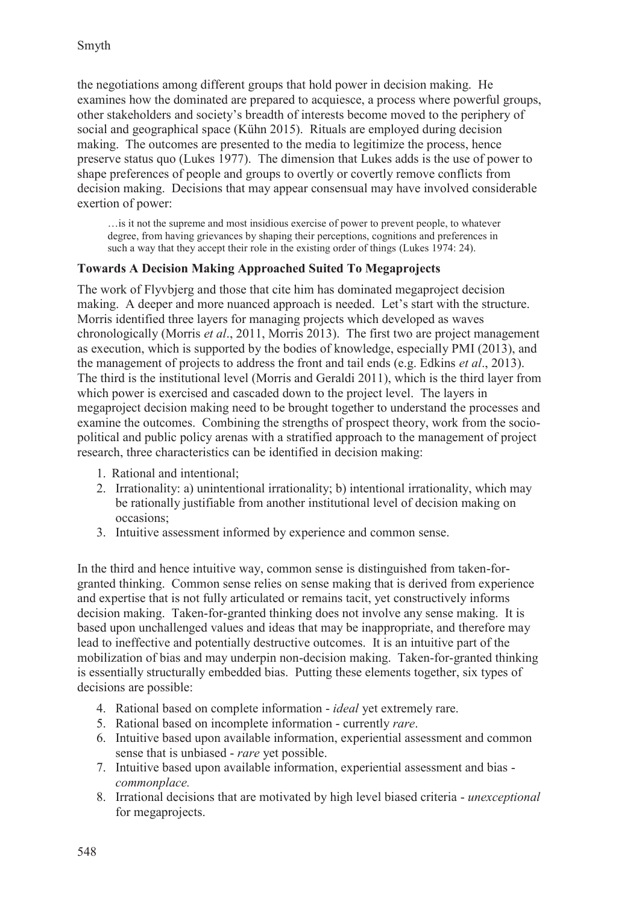the negotiations among different groups that hold power in decision making. He examines how the dominated are prepared to acquiesce, a process where powerful groups, other stakeholders and society's breadth of interests become moved to the periphery of social and geographical space (Kühn 2015). Rituals are employed during decision making. The outcomes are presented to the media to legitimize the process, hence preserve status quo (Lukes 1977). The dimension that Lukes adds is the use of power to shape preferences of people and groups to overtly or covertly remove conflicts from decision making. Decisions that may appear consensual may have involved considerable exertion of power:

…is it not the supreme and most insidious exercise of power to prevent people, to whatever degree, from having grievances by shaping their perceptions, cognitions and preferences in such a way that they accept their role in the existing order of things (Lukes 1974: 24).

#### **Towards A Decision Making Approached Suited To Megaprojects**

The work of Flyvbjerg and those that cite him has dominated megaproject decision making. A deeper and more nuanced approach is needed. Let's start with the structure. Morris identified three layers for managing projects which developed as waves chronologically (Morris *et al*., 2011, Morris 2013). The first two are project management as execution, which is supported by the bodies of knowledge, especially PMI (2013), and the management of projects to address the front and tail ends (e.g. Edkins *et al*., 2013). The third is the institutional level (Morris and Geraldi 2011), which is the third layer from which power is exercised and cascaded down to the project level. The layers in megaproject decision making need to be brought together to understand the processes and examine the outcomes. Combining the strengths of prospect theory, work from the sociopolitical and public policy arenas with a stratified approach to the management of project research, three characteristics can be identified in decision making:

- 1. Rational and intentional;
- 2. Irrationality: a) unintentional irrationality; b) intentional irrationality, which may be rationally justifiable from another institutional level of decision making on occasions;
- 3. Intuitive assessment informed by experience and common sense.

In the third and hence intuitive way, common sense is distinguished from taken-forgranted thinking. Common sense relies on sense making that is derived from experience and expertise that is not fully articulated or remains tacit, yet constructively informs decision making. Taken-for-granted thinking does not involve any sense making. It is based upon unchallenged values and ideas that may be inappropriate, and therefore may lead to ineffective and potentially destructive outcomes. It is an intuitive part of the mobilization of bias and may underpin non-decision making. Taken-for-granted thinking is essentially structurally embedded bias. Putting these elements together, six types of decisions are possible:

- 4. Rational based on complete information *ideal* yet extremely rare.
- 5. Rational based on incomplete information currently *rare*.
- 6. Intuitive based upon available information, experiential assessment and common sense that is unbiased - *rare* yet possible.
- 7. Intuitive based upon available information, experiential assessment and bias *commonplace.*
- 8. Irrational decisions that are motivated by high level biased criteria *unexceptional* for megaprojects.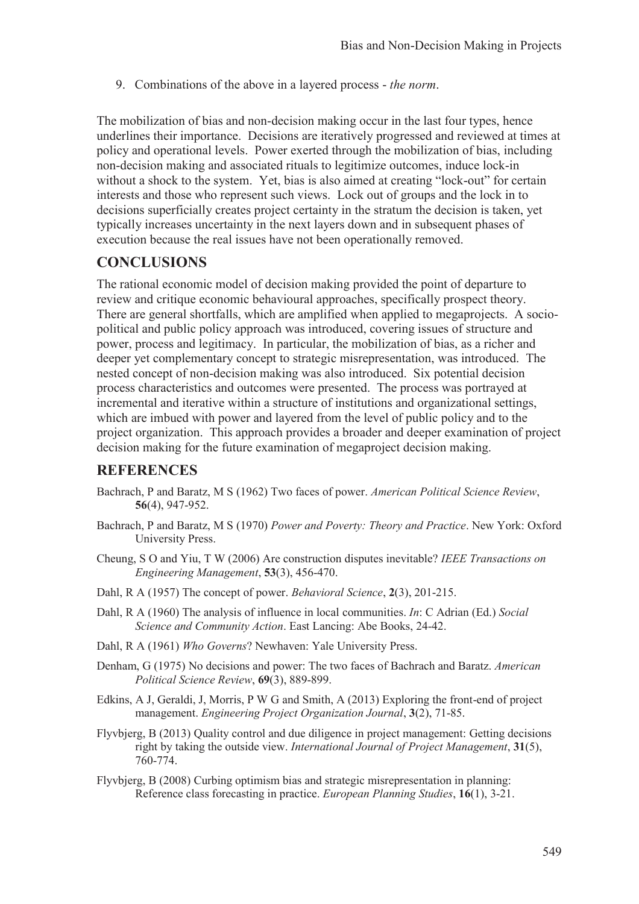9. Combinations of the above in a layered process - *the norm*.

The mobilization of bias and non-decision making occur in the last four types, hence underlines their importance. Decisions are iteratively progressed and reviewed at times at policy and operational levels. Power exerted through the mobilization of bias, including non-decision making and associated rituals to legitimize outcomes, induce lock-in without a shock to the system. Yet, bias is also aimed at creating "lock-out" for certain interests and those who represent such views. Lock out of groups and the lock in to decisions superficially creates project certainty in the stratum the decision is taken, yet typically increases uncertainty in the next layers down and in subsequent phases of execution because the real issues have not been operationally removed.

## **CONCLUSIONS**

The rational economic model of decision making provided the point of departure to review and critique economic behavioural approaches, specifically prospect theory. There are general shortfalls, which are amplified when applied to megaprojects. A sociopolitical and public policy approach was introduced, covering issues of structure and power, process and legitimacy. In particular, the mobilization of bias, as a richer and deeper yet complementary concept to strategic misrepresentation, was introduced. The nested concept of non-decision making was also introduced. Six potential decision process characteristics and outcomes were presented. The process was portrayed at incremental and iterative within a structure of institutions and organizational settings, which are imbued with power and layered from the level of public policy and to the project organization. This approach provides a broader and deeper examination of project decision making for the future examination of megaproject decision making.

### **REFERENCES**

- Bachrach, P and Baratz, M S (1962) Two faces of power. *American Political Science Review*, **56**(4), 947-952.
- Bachrach, P and Baratz, M S (1970) *Power and Poverty: Theory and Practice*. New York: Oxford University Press.
- Cheung, S O and Yiu, T W (2006) Are construction disputes inevitable? *IEEE Transactions on Engineering Management*, **53**(3), 456-470.
- Dahl, R A (1957) The concept of power. *Behavioral Science*, **2**(3), 201-215.
- Dahl, R A (1960) The analysis of influence in local communities. *In*: C Adrian (Ed.) *Social Science and Community Action*. East Lancing: Abe Books, 24-42.
- Dahl, R A (1961) *Who Governs*? Newhaven: Yale University Press.
- Denham, G (1975) No decisions and power: The two faces of Bachrach and Baratz. *American Political Science Review*, **69**(3), 889-899.
- Edkins, A J, Geraldi, J, Morris, P W G and Smith, A (2013) Exploring the front-end of project management. *Engineering Project Organization Journal*, **3**(2), 71-85.
- Flyvbjerg, B (2013) Quality control and due diligence in project management: Getting decisions right by taking the outside view. *International Journal of Project Management*, **31**(5), 760-774.
- Flyvbjerg, B (2008) Curbing optimism bias and strategic misrepresentation in planning: Reference class forecasting in practice. *European Planning Studies*, **16**(1), 3-21.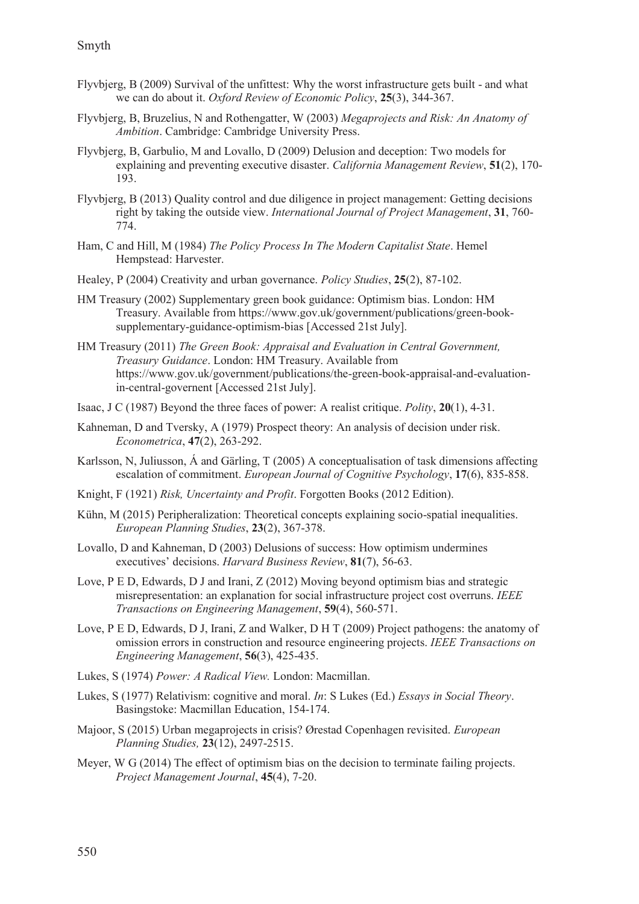- Flyvbjerg, B (2009) Survival of the unfittest: Why the worst infrastructure gets built and what we can do about it. *Oxford Review of Economic Policy*, **25**(3), 344-367.
- Flyvbjerg, B, Bruzelius, N and Rothengatter, W (2003) *Megaprojects and Risk: An Anatomy of Ambition*. Cambridge: Cambridge University Press.
- Flyvbjerg, B, Garbulio, M and Lovallo, D (2009) Delusion and deception: Two models for explaining and preventing executive disaster. *California Management Review*, **51**(2), 170- 193.
- Flyvbjerg, B (2013) Quality control and due diligence in project management: Getting decisions right by taking the outside view. *International Journal of Project Management*, **31**, 760- 774.
- Ham, C and Hill, M (1984) *The Policy Process In The Modern Capitalist State*. Hemel Hempstead: Harvester.
- Healey, P (2004) Creativity and urban governance. *Policy Studies*, **25**(2), 87-102.
- HM Treasury (2002) Supplementary green book guidance: Optimism bias. London: HM Treasury. Available from https://www.gov.uk/government/publications/green-booksupplementary-guidance-optimism-bias [Accessed 21st July].
- HM Treasury (2011) *The Green Book: Appraisal and Evaluation in Central Government, Treasury Guidance*. London: HM Treasury. Available from https://www.gov.uk/government/publications/the-green-book-appraisal-and-evaluationin-central-governent [Accessed 21st July].
- Isaac, J C (1987) Beyond the three faces of power: A realist critique. *Polity*, **20**(1), 4-31.
- Kahneman, D and Tversky, A (1979) Prospect theory: An analysis of decision under risk. *Econometrica*, **47**(2), 263-292.
- Karlsson, N, Juliusson, Á and Gärling, T (2005) A conceptualisation of task dimensions affecting escalation of commitment. *European Journal of Cognitive Psychology*, **17**(6), 835-858.
- Knight, F (1921) *Risk, Uncertainty and Profit*. Forgotten Books (2012 Edition).
- Kühn, M (2015) Peripheralization: Theoretical concepts explaining socio-spatial inequalities. *European Planning Studies*, **23**(2), 367-378.
- Lovallo, D and Kahneman, D (2003) Delusions of success: How optimism undermines executives' decisions. *Harvard Business Review*, **81**(7), 56-63.
- Love, P E D, Edwards, D J and Irani, Z (2012) Moving beyond optimism bias and strategic misrepresentation: an explanation for social infrastructure project cost overruns. *IEEE Transactions on Engineering Management*, **59**(4), 560-571.
- Love, P E D, Edwards, D J, Irani, Z and Walker, D H T (2009) Project pathogens: the anatomy of omission errors in construction and resource engineering projects. *IEEE Transactions on Engineering Management*, **56**(3), 425-435.
- Lukes, S (1974) *Power: A Radical View.* London: Macmillan.
- Lukes, S (1977) Relativism: cognitive and moral. *In*: S Lukes (Ed.) *Essays in Social Theory*. Basingstoke: Macmillan Education, 154-174.
- Majoor, S (2015) Urban megaprojects in crisis? Ørestad Copenhagen revisited. *European Planning Studies,* **23**(12), 2497-2515.
- Meyer, W G (2014) The effect of optimism bias on the decision to terminate failing projects. *Project Management Journal*, **45**(4), 7-20.